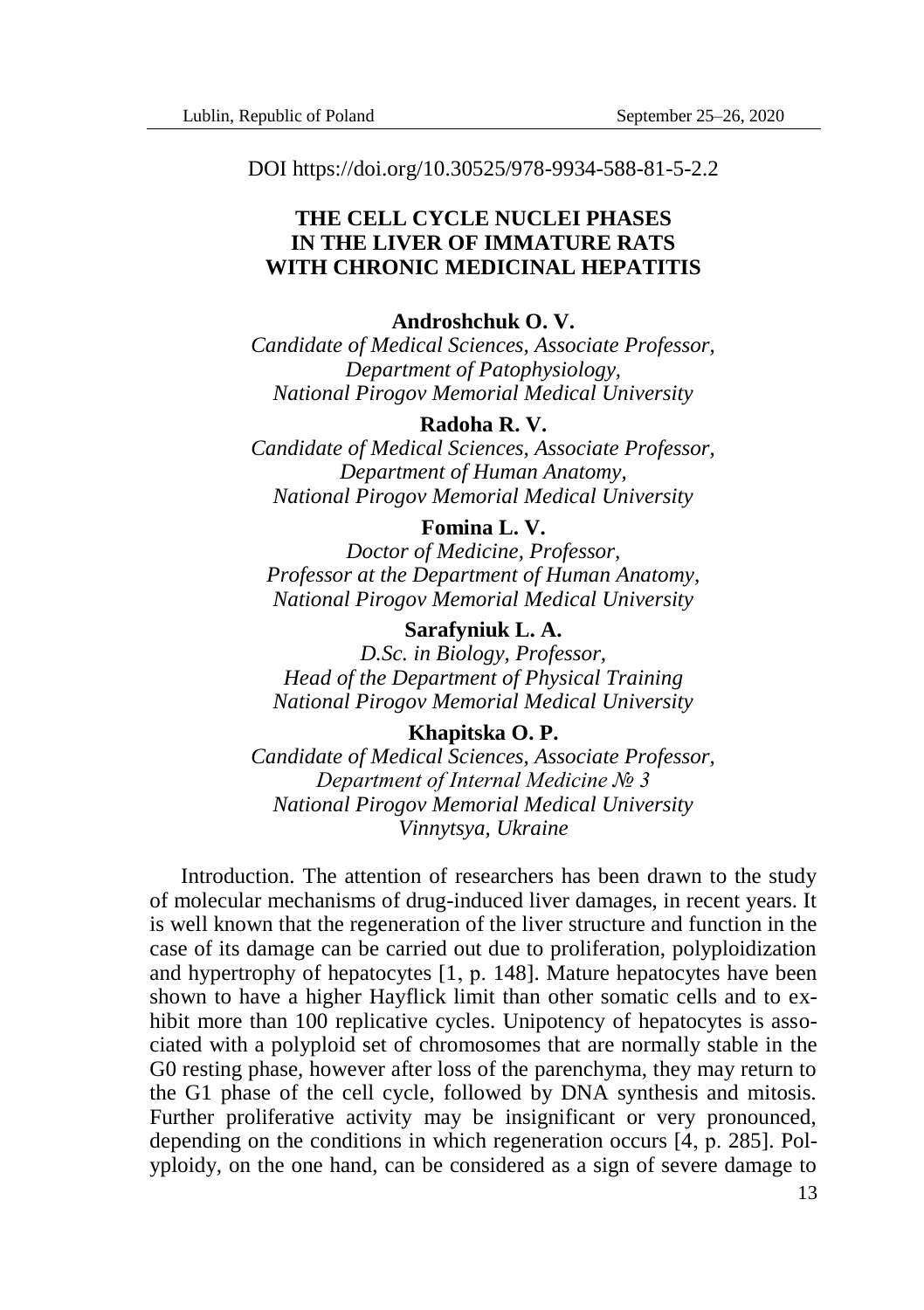DOI https://doi.org/10.30525/978-9934-588-81-5-2.2

# **THE CELL CYCLE NUCLEI PHASES IN THE LIVER OF IMMATURE RATS WITH CHRONIC MEDICINAL HEPATITIS**

# **Androshchuk O. V.**

*Candidate of Medical Sciences, Associate Professor, Department of Patophysiology, National Pirogov Memorial Medical University*

## **Radoha R. V.**

*Candidate of Medical Sciences, Associate Professor, Department of Human Anatomy, National Pirogov Memorial Medical University*

# **Fomina L. V.**

*Doctor of Medicine, Professor, Professor at the Department of Human Anatomy, National Pirogov Memorial Medical University*

## **Sarafyniuk L. A.**

*D.Sc. in Biology, Professor, Head of the Department of Physical Training National Pirogov Memorial Medical University*

#### **Khapitska O. P.**

*Candidate of Medical Sciences, Associate Professor, Department of Internal Medicine № 3 National Pirogov Memorial Medical University Vinnytsya, Ukraine*

Introduction. The attention of researchers has been drawn to the study of molecular mechanisms of drug-induced liver damages, in recent years. It is well known that the regeneration of the liver structure and function in the case of its damage can be carried out due to proliferation, polyploidization and hypertrophy of hepatocytes [1, р. 148]. Mature hepatocytes have been shown to have a higher Hayflick limit than other somatic cells and to exhibit more than 100 replicative cycles. Unipotency of hepatocytes is associated with a polyploid set of chromosomes that are normally stable in the G0 resting phase, however after loss of the parenchyma, they may return to the G1 phase of the cell cycle, followed by DNA synthesis and mitosis. Further proliferative activity may be insignificant or very pronounced, depending on the conditions in which regeneration occurs [4, р. 285]. Polyploidy, on the one hand, can be considered as a sign of severe damage to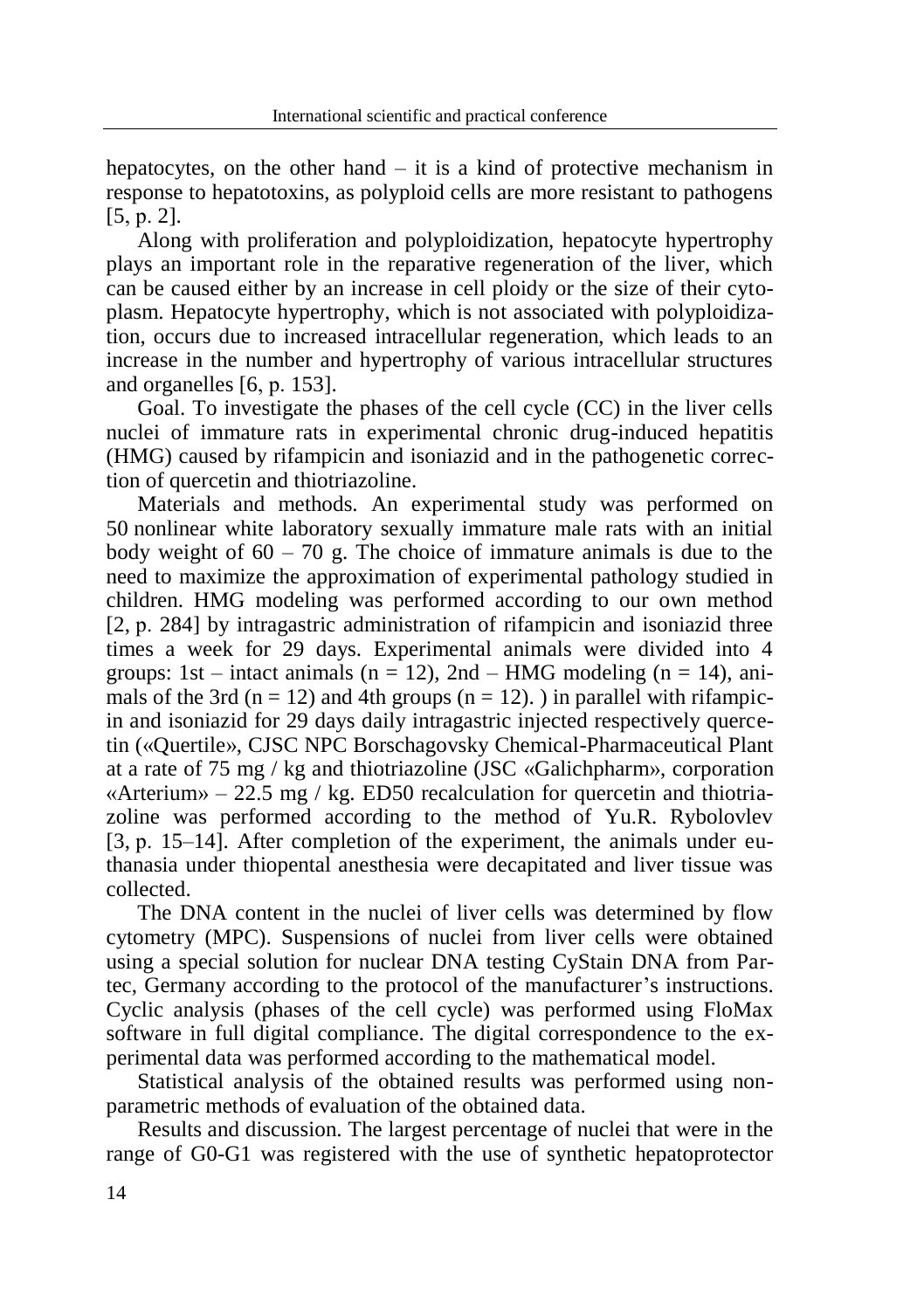hepatocytes, on the other hand  $-$  it is a kind of protective mechanism in response to hepatotoxins, as polyploid cells are more resistant to pathogens [5, р. 2].

Along with proliferation and polyploidization, hepatocyte hypertrophy plays an important role in the reparative regeneration of the liver, which can be caused either by an increase in cell ploidy or the size of their cytoplasm. Hepatocyte hypertrophy, which is not associated with polyploidization, occurs due to increased intracellular regeneration, which leads to an increase in the number and hypertrophy of various intracellular structures and organelles [6, р. 153].

Goal. To investigate the phases of the cell cycle (CC) in the liver cells nuclei of immature rats in experimental chronic drug-induced hepatitis (HMG) caused by rifampicin and isoniazid and in the pathogenetic correction of quercetin and thiotriazoline.

Materials and methods. An experimental study was performed on 50 nonlinear white laboratory sexually immature male rats with an initial body weight of  $60 - 70$  g. The choice of immature animals is due to the need to maximize the approximation of experimental pathology studied in children. HMG modeling was performed according to our own method [2, p. 284] by intragastric administration of rifampicin and isoniazid three times a week for 29 days. Experimental animals were divided into 4 groups: 1st – intact animals ( $n = 12$ ), 2nd – HMG modeling ( $n = 14$ ), animals of the 3rd ( $n = 12$ ) and 4th groups ( $n = 12$ ). ) in parallel with rifampicin and isoniazid for 29 days daily intragastric injected respectively quercetin («Quertile», CJSC NPC Borschagovsky Chemical-Pharmaceutical Plant at a rate of 75 mg / kg and thiotriazoline (JSC «Galichpharm», corporation «Arterium»  $-22.5$  mg / kg. ED50 recalculation for quercetin and thiotriazoline was performed according to the method of Yu.R. Rybolovlev [3, p. 15–14]. After completion of the experiment, the animals under euthanasia under thiopental anesthesia were decapitated and liver tissue was collected.

The DNA content in the nuclei of liver cells was determined by flow cytometry (MPC). Suspensions of nuclei from liver cells were obtained using a special solution for nuclear DNA testing CyStain DNA from Partec, Germany according to the protocol of the manufacturer's instructions. Cyclic analysis (phases of the cell cycle) was performed using FloMax software in full digital compliance. The digital correspondence to the experimental data was performed according to the mathematical model.

Statistical analysis of the obtained results was performed using nonparametric methods of evaluation of the obtained data.

Results and discussion. The largest percentage of nuclei that were in the range of G0-G1 was registered with the use of synthetic hepatoprotector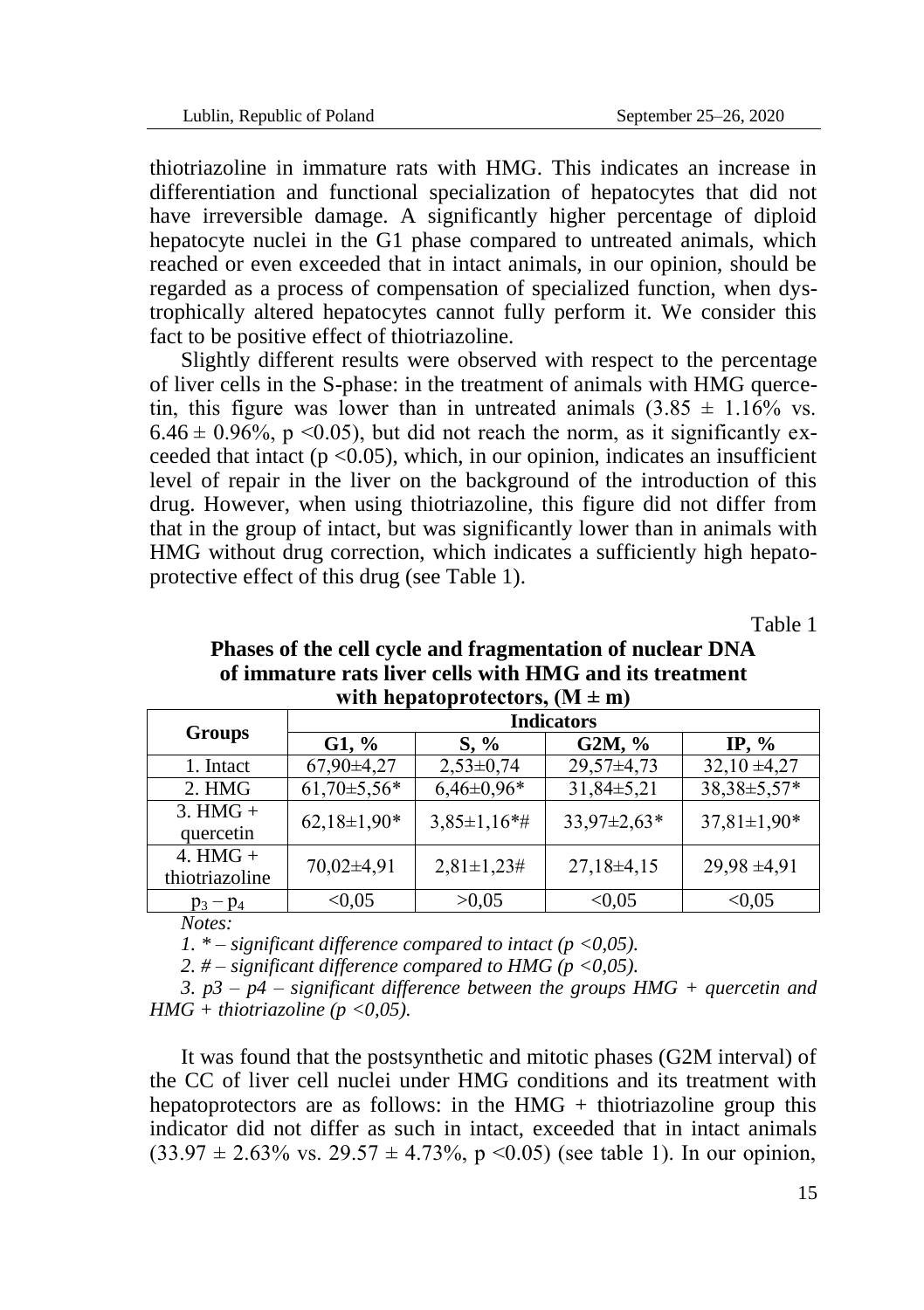thiotriazoline in immature rats with HMG. This indicates an increase in differentiation and functional specialization of hepatocytes that did not have irreversible damage. A significantly higher percentage of diploid hepatocyte nuclei in the G1 phase compared to untreated animals, which reached or even exceeded that in intact animals, in our opinion, should be regarded as a process of compensation of specialized function, when dystrophically altered hepatocytes cannot fully perform it. We consider this fact to be positive effect of thiotriazoline.

Slightly different results were observed with respect to the percentage of liver cells in the S-phase: in the treatment of animals with HMG quercetin, this figure was lower than in untreated animals  $(3.85 \pm 1.16\% \text{ vs.})$ 6.46  $\pm$  0.96%, p <0.05), but did not reach the norm, as it significantly exceeded that intact ( $p < 0.05$ ), which, in our opinion, indicates an insufficient level of repair in the liver on the background of the introduction of this drug. However, when using thiotriazoline, this figure did not differ from that in the group of intact, but was significantly lower than in animals with HMG without drug correction, which indicates a sufficiently high hepatoprotective effect of this drug (see Table 1).

Table 1

| Phases of the cell cycle and fragmentation of nuclear DNA |
|-----------------------------------------------------------|
| of immature rats liver cells with HMG and its treatment   |
| with hepatoprotectors, $(M \pm m)$                        |

| <b>Groups</b>                | <b>Indicators</b> |                    |                   |                   |
|------------------------------|-------------------|--------------------|-------------------|-------------------|
|                              | $G1, \%$          | $S, \%$            | $G2M, \%$         | IP, $\%$          |
| 1. Intact                    | $67,90\pm4,27$    | $2,53\pm0,74$      | $29,57\pm4,73$    | $32,10 \pm 4,27$  |
| 2. HMG                       | $61,70\pm5,56*$   | $6,46\pm0.96*$     | $31,84\pm5,21$    | 38,38±5,57*       |
| $3. HMG +$<br>quercetin      | $62,18\pm1,90*$   | $3,85 \pm 1,16$ *# | $33.97 \pm 2.63*$ | $37,81 \pm 1,90*$ |
| 4. $HMG +$<br>thiotriazoline | $70,02\pm4,91$    | $2,81 \pm 1,23 \#$ | $27,18\pm4,15$    | $29,98 \pm 4,91$  |
| $p_3 - p_4$                  | < 0.05            | >0.05              | < 0.05            | < 0.05            |

*Notes:*

*1.*  $*$  – *significant difference compared to intact (p <0,05).* 

*2. # – significant difference compared to HMG (p <0,05).*

*3. p3 – p4 – significant difference between the groups HMG + quercetin and HMG + thiotriazoline (p <0,05).*

It was found that the postsynthetic and mitotic phases (G2M interval) of the CC of liver cell nuclei under HMG conditions and its treatment with hepatoprotectors are as follows: in the  $HMG +$  thiotriazoline group this indicator did not differ as such in intact, exceeded that in intact animals  $(33.97 \pm 2.63\% \text{ vs. } 29.57 \pm 4.73\%, \text{ p} < 0.05)$  (see table 1). In our opinion,